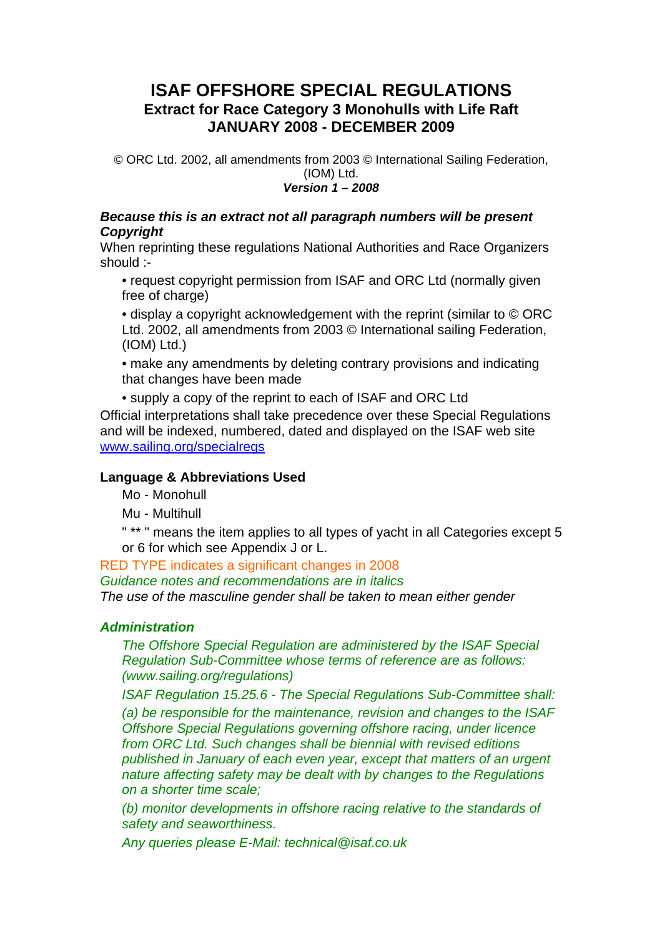# **ISAF OFFSHORE SPECIAL REGULATIONS Extract for Race Category 3 Monohulls with Life Raft JANUARY 2008 - DECEMBER 2009**

© ORC Ltd. 2002, all amendments from 2003 © International Sailing Federation, (IOM) Ltd.

## *Version 1 – 2008*

#### *Because this is an extract not all paragraph numbers will be present Copyright*

When reprinting these regulations National Authorities and Race Organizers should :-

- request copyright permission from ISAF and ORC Ltd (normally given free of charge)
- display a copyright acknowledgement with the reprint (similar to © ORC Ltd. 2002, all amendments from 2003 © International sailing Federation, (IOM) Ltd.)
- make any amendments by deleting contrary provisions and indicating that changes have been made
- supply a copy of the reprint to each of ISAF and ORC Ltd

Official interpretations shall take precedence over these Special Regulations and will be indexed, numbered, dated and displayed on the ISAF web site www.sailing.org/specialregs

## **Language & Abbreviations Used**

Mo - Monohull

Mu - Multihull

 " \*\* " means the item applies to all types of yacht in all Categories except 5 or 6 for which see Appendix J or L.

RED TYPE indicates a significant changes in 2008

*Guidance notes and recommendations are in italics*

*The use of the masculine gender shall be taken to mean either gender*

## *Administration*

 *The Offshore Special Regulation are administered by the ISAF Special Regulation Sub-Committee whose terms of reference are as follows: (www.sailing.org/regulations)*

*ISAF Regulation 15.25.6 - The Special Regulations Sub-Committee shall:*

 *(a) be responsible for the maintenance, revision and changes to the ISAF Offshore Special Regulations governing offshore racing, under licence from ORC Ltd. Such changes shall be biennial with revised editions published in January of each even year, except that matters of an urgent nature affecting safety may be dealt with by changes to the Regulations on a shorter time scale;* 

 *(b) monitor developments in offshore racing relative to the standards of safety and seaworthiness.*

*Any queries please E-Mail: technical@isaf.co.uk*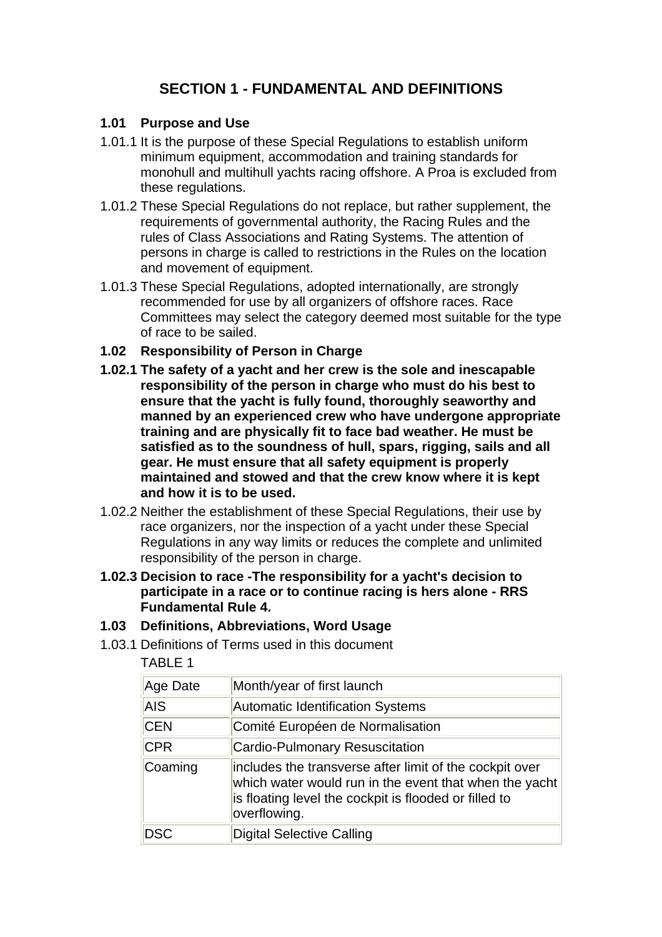# **SECTION 1 - FUNDAMENTAL AND DEFINITIONS**

#### **1.01 Purpose and Use**

- 1.01.1 It is the purpose of these Special Regulations to establish uniform minimum equipment, accommodation and training standards for monohull and multihull yachts racing offshore. A Proa is excluded from these regulations.
- 1.01.2 These Special Regulations do not replace, but rather supplement, the requirements of governmental authority, the Racing Rules and the rules of Class Associations and Rating Systems. The attention of persons in charge is called to restrictions in the Rules on the location and movement of equipment.
- 1.01.3 These Special Regulations, adopted internationally, are strongly recommended for use by all organizers of offshore races. Race Committees may select the category deemed most suitable for the type of race to be sailed.
- **1.02 Responsibility of Person in Charge**
- **1.02.1 The safety of a yacht and her crew is the sole and inescapable responsibility of the person in charge who must do his best to ensure that the yacht is fully found, thoroughly seaworthy and manned by an experienced crew who have undergone appropriate training and are physically fit to face bad weather. He must be satisfied as to the soundness of hull, spars, rigging, sails and all gear. He must ensure that all safety equipment is properly maintained and stowed and that the crew know where it is kept and how it is to be used.**
- 1.02.2 Neither the establishment of these Special Regulations, their use by race organizers, nor the inspection of a yacht under these Special Regulations in any way limits or reduces the complete and unlimited responsibility of the person in charge.
- **1.02.3 Decision to race -The responsibility for a yacht's decision to participate in a race or to continue racing is hers alone - RRS Fundamental Rule 4.**
- **1.03 Definitions, Abbreviations, Word Usage**
- 1.03.1 Definitions of Terms used in this document

| BL.<br>٠ |
|----------|
|----------|

| Age Date   | Month/year of first launch                                                                                                                                                                 |
|------------|--------------------------------------------------------------------------------------------------------------------------------------------------------------------------------------------|
| <b>AIS</b> | Automatic Identification Systems                                                                                                                                                           |
| <b>CEN</b> | Comité Européen de Normalisation                                                                                                                                                           |
| <b>CPR</b> | <b>Cardio-Pulmonary Resuscitation</b>                                                                                                                                                      |
| Coaming    | includes the transverse after limit of the cockpit over<br>which water would run in the event that when the yacht<br>is floating level the cockpit is flooded or filled to<br>overflowing. |
| DSC        | Digital Selective Calling                                                                                                                                                                  |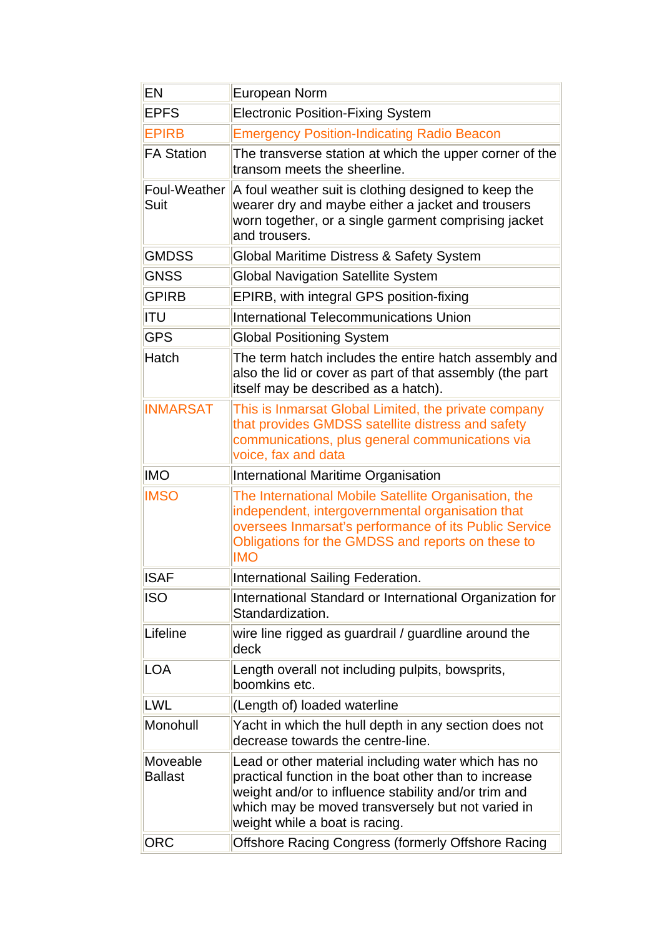| EN                         | European Norm                                                                                                                                                                                                                                               |  |
|----------------------------|-------------------------------------------------------------------------------------------------------------------------------------------------------------------------------------------------------------------------------------------------------------|--|
| <b>EPFS</b>                | <b>Electronic Position-Fixing System</b>                                                                                                                                                                                                                    |  |
| <b>EPIRB</b>               | <b>Emergency Position-Indicating Radio Beacon</b>                                                                                                                                                                                                           |  |
| <b>FA Station</b>          | The transverse station at which the upper corner of the<br>transom meets the sheerline.                                                                                                                                                                     |  |
| Foul-Weather<br>Suit       | A foul weather suit is clothing designed to keep the<br>wearer dry and maybe either a jacket and trousers<br>worn together, or a single garment comprising jacket<br>and trousers.                                                                          |  |
| <b>GMDSS</b>               | Global Maritime Distress & Safety System                                                                                                                                                                                                                    |  |
| <b>GNSS</b>                | <b>Global Navigation Satellite System</b>                                                                                                                                                                                                                   |  |
| <b>GPIRB</b>               | EPIRB, with integral GPS position-fixing                                                                                                                                                                                                                    |  |
| <b>ITU</b>                 | <b>International Telecommunications Union</b>                                                                                                                                                                                                               |  |
| <b>GPS</b>                 | <b>Global Positioning System</b>                                                                                                                                                                                                                            |  |
| Hatch                      | The term hatch includes the entire hatch assembly and<br>also the lid or cover as part of that assembly (the part<br>itself may be described as a hatch).                                                                                                   |  |
| <b>INMARSAT</b>            | This is Inmarsat Global Limited, the private company<br>that provides GMDSS satellite distress and safety<br>communications, plus general communications via<br>voice, fax and data                                                                         |  |
|                            |                                                                                                                                                                                                                                                             |  |
| <b>IMO</b>                 | International Maritime Organisation                                                                                                                                                                                                                         |  |
| <b>IMSO</b>                | The International Mobile Satellite Organisation, the<br>independent, intergovernmental organisation that<br>oversees Inmarsat's performance of its Public Service<br>Obligations for the GMDSS and reports on these to<br><b>IMO</b>                        |  |
| <b>ISAF</b>                | International Sailing Federation.                                                                                                                                                                                                                           |  |
| <b>ISO</b>                 | International Standard or International Organization for<br>Standardization.                                                                                                                                                                                |  |
| Lifeline                   | wire line rigged as guardrail / guardline around the<br>deck                                                                                                                                                                                                |  |
| LOA                        | Length overall not including pulpits, bowsprits,<br>boomkins etc.                                                                                                                                                                                           |  |
| LWL                        | (Length of) loaded waterline                                                                                                                                                                                                                                |  |
| Monohull                   | Yacht in which the hull depth in any section does not<br>decrease towards the centre-line.                                                                                                                                                                  |  |
| Moveable<br><b>Ballast</b> | Lead or other material including water which has no<br>practical function in the boat other than to increase<br>weight and/or to influence stability and/or trim and<br>which may be moved transversely but not varied in<br>weight while a boat is racing. |  |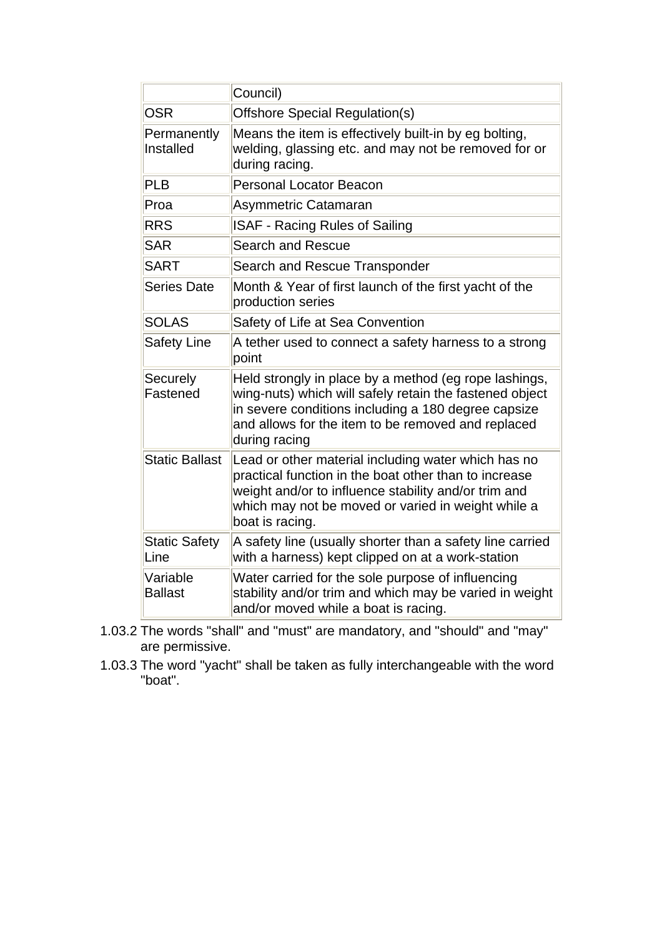|                              | Council)                                                                                                                                                                                                                                       |
|------------------------------|------------------------------------------------------------------------------------------------------------------------------------------------------------------------------------------------------------------------------------------------|
| <b>OSR</b>                   | Offshore Special Regulation(s)                                                                                                                                                                                                                 |
| Permanently<br>Installed     | Means the item is effectively built-in by eg bolting,<br>welding, glassing etc. and may not be removed for or<br>during racing.                                                                                                                |
| <b>PLB</b>                   | <b>Personal Locator Beacon</b>                                                                                                                                                                                                                 |
| Proa                         | Asymmetric Catamaran                                                                                                                                                                                                                           |
| <b>RRS</b>                   | <b>ISAF - Racing Rules of Sailing</b>                                                                                                                                                                                                          |
| <b>SAR</b>                   | <b>Search and Rescue</b>                                                                                                                                                                                                                       |
| <b>SART</b>                  | Search and Rescue Transponder                                                                                                                                                                                                                  |
| <b>Series Date</b>           | Month & Year of first launch of the first yacht of the<br>production series                                                                                                                                                                    |
| <b>SOLAS</b>                 | Safety of Life at Sea Convention                                                                                                                                                                                                               |
| <b>Safety Line</b>           | A tether used to connect a safety harness to a strong<br>point                                                                                                                                                                                 |
| Securely<br>Fastened         | Held strongly in place by a method (eg rope lashings,<br>wing-nuts) which will safely retain the fastened object<br>in severe conditions including a 180 degree capsize<br>and allows for the item to be removed and replaced<br>during racing |
| <b>Static Ballast</b>        | Lead or other material including water which has no<br>practical function in the boat other than to increase<br>weight and/or to influence stability and/or trim and<br>which may not be moved or varied in weight while a<br>boat is racing.  |
| <b>Static Safety</b><br>Line | A safety line (usually shorter than a safety line carried<br>with a harness) kept clipped on at a work-station                                                                                                                                 |
| Variable<br><b>Ballast</b>   | Water carried for the sole purpose of influencing<br>stability and/or trim and which may be varied in weight<br>and/or moved while a boat is racing.                                                                                           |

- 1.03.2 The words "shall" and "must" are mandatory, and "should" and "may" are permissive.
- 1.03.3 The word "yacht" shall be taken as fully interchangeable with the word "boat".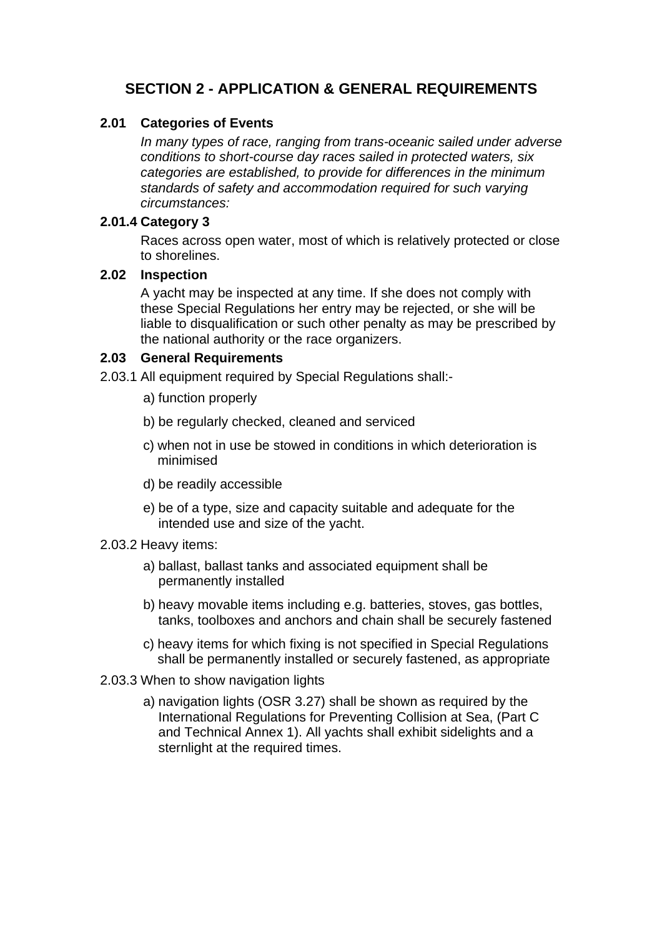# **SECTION 2 - APPLICATION & GENERAL REQUIREMENTS**

#### **2.01 Categories of Events**

 *In many types of race, ranging from trans-oceanic sailed under adverse conditions to short-course day races sailed in protected waters, six categories are established, to provide for differences in the minimum standards of safety and accommodation required for such varying circumstances:*

#### **2.01.4 Category 3**

 Races across open water, most of which is relatively protected or close to shorelines.

#### **2.02 Inspection**

 A yacht may be inspected at any time. If she does not comply with these Special Regulations her entry may be rejected, or she will be liable to disqualification or such other penalty as may be prescribed by the national authority or the race organizers.

#### **2.03 General Requirements**

- 2.03.1 All equipment required by Special Regulations shall:
	- a) function properly
	- b) be regularly checked, cleaned and serviced
	- c) when not in use be stowed in conditions in which deterioration is minimised
	- d) be readily accessible
	- e) be of a type, size and capacity suitable and adequate for the intended use and size of the yacht.

#### 2.03.2 Heavy items:

- a) ballast, ballast tanks and associated equipment shall be permanently installed
- b) heavy movable items including e.g. batteries, stoves, gas bottles, tanks, toolboxes and anchors and chain shall be securely fastened
- c) heavy items for which fixing is not specified in Special Regulations shall be permanently installed or securely fastened, as appropriate
- 2.03.3 When to show navigation lights
	- a) navigation lights (OSR 3.27) shall be shown as required by the International Regulations for Preventing Collision at Sea, (Part C and Technical Annex 1). All yachts shall exhibit sidelights and a sternlight at the required times.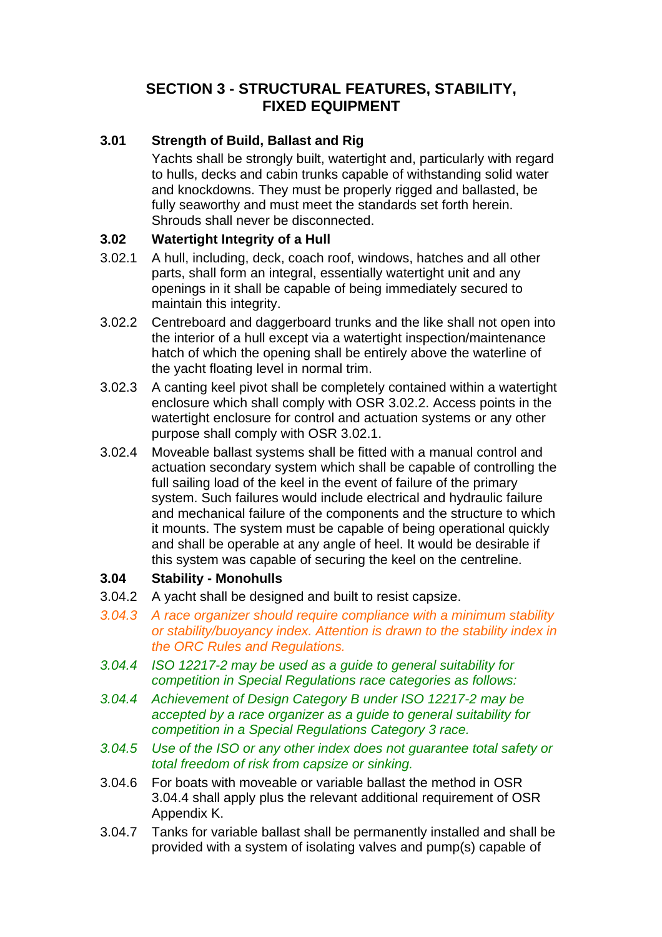# **SECTION 3 - STRUCTURAL FEATURES, STABILITY, FIXED EQUIPMENT**

## **3.01 Strength of Build, Ballast and Rig**

 Yachts shall be strongly built, watertight and, particularly with regard to hulls, decks and cabin trunks capable of withstanding solid water and knockdowns. They must be properly rigged and ballasted, be fully seaworthy and must meet the standards set forth herein. Shrouds shall never be disconnected.

## **3.02 Watertight Integrity of a Hull**

- 3.02.1 A hull, including, deck, coach roof, windows, hatches and all other parts, shall form an integral, essentially watertight unit and any openings in it shall be capable of being immediately secured to maintain this integrity.
- 3.02.2 Centreboard and daggerboard trunks and the like shall not open into the interior of a hull except via a watertight inspection/maintenance hatch of which the opening shall be entirely above the waterline of the yacht floating level in normal trim.
- 3.02.3 A canting keel pivot shall be completely contained within a watertight enclosure which shall comply with OSR 3.02.2. Access points in the watertight enclosure for control and actuation systems or any other purpose shall comply with OSR 3.02.1.
- 3.02.4 Moveable ballast systems shall be fitted with a manual control and actuation secondary system which shall be capable of controlling the full sailing load of the keel in the event of failure of the primary system. Such failures would include electrical and hydraulic failure and mechanical failure of the components and the structure to which it mounts. The system must be capable of being operational quickly and shall be operable at any angle of heel. It would be desirable if this system was capable of securing the keel on the centreline.

## **3.04 Stability - Monohulls**

- 3.04.2 A yacht shall be designed and built to resist capsize.
- *3.04.3 A race organizer should require compliance with a minimum stability or stability/buoyancy index. Attention is drawn to the stability index in the ORC Rules and Regulations.*
- *3.04.4 ISO 12217-2 may be used as a guide to general suitability for competition in Special Regulations race categories as follows:*
- *3.04.4 Achievement of Design Category B under ISO 12217-2 may be accepted by a race organizer as a guide to general suitability for competition in a Special Regulations Category 3 race.*
- *3.04.5 Use of the ISO or any other index does not guarantee total safety or total freedom of risk from capsize or sinking.*
- 3.04.6 For boats with moveable or variable ballast the method in OSR 3.04.4 shall apply plus the relevant additional requirement of OSR Appendix K.
- 3.04.7 Tanks for variable ballast shall be permanently installed and shall be provided with a system of isolating valves and pump(s) capable of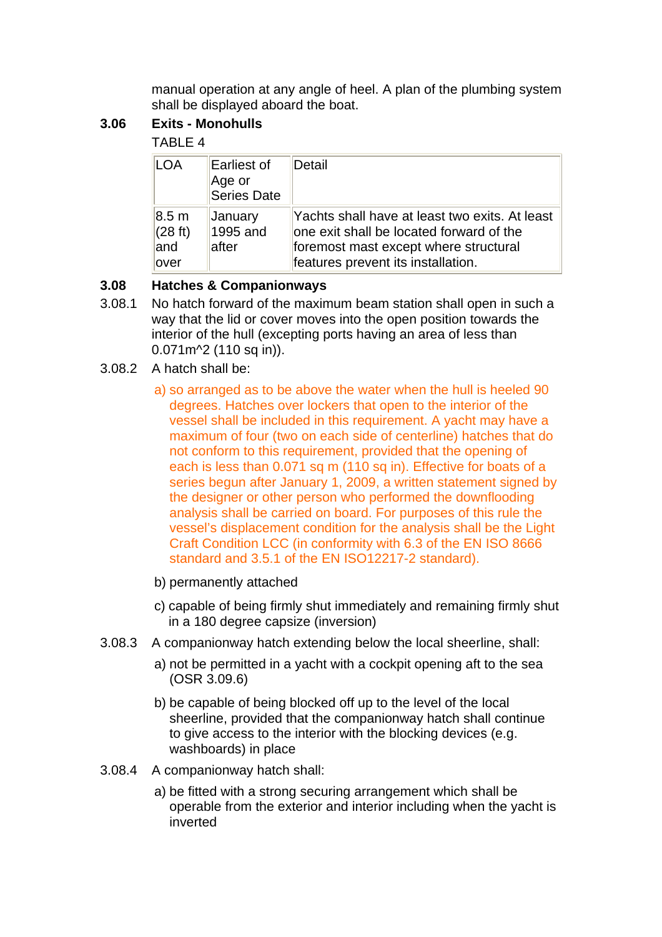manual operation at any angle of heel. A plan of the plumbing system shall be displayed aboard the boat.

## **3.06 Exits - Monohulls**

## TABLE 4

| LOA                                           | Earliest of<br>Age or<br>Series Date | Detail                                                                                                                                                                    |
|-----------------------------------------------|--------------------------------------|---------------------------------------------------------------------------------------------------------------------------------------------------------------------------|
| $ 8.5 \text{ m} $<br>(28 ft)<br>land<br>lover | January<br>1995 and<br>lafter        | Yachts shall have at least two exits. At least<br>one exit shall be located forward of the<br>foremost mast except where structural<br>features prevent its installation. |

## **3.08 Hatches & Companionways**

- 3.08.1 No hatch forward of the maximum beam station shall open in such a way that the lid or cover moves into the open position towards the interior of the hull (excepting ports having an area of less than 0.071m^2 (110 sq in)).
- 3.08.2 A hatch shall be:
	- a) so arranged as to be above the water when the hull is heeled 90 degrees. Hatches over lockers that open to the interior of the vessel shall be included in this requirement. A yacht may have a maximum of four (two on each side of centerline) hatches that do not conform to this requirement, provided that the opening of each is less than 0.071 sq m (110 sq in). Effective for boats of a series begun after January 1, 2009, a written statement signed by the designer or other person who performed the downflooding analysis shall be carried on board. For purposes of this rule the vessel's displacement condition for the analysis shall be the Light Craft Condition LCC (in conformity with 6.3 of the EN ISO 8666 standard and 3.5.1 of the EN ISO12217-2 standard).
	- b) permanently attached
	- c) capable of being firmly shut immediately and remaining firmly shut in a 180 degree capsize (inversion)
- 3.08.3 A companionway hatch extending below the local sheerline, shall:
	- a) not be permitted in a yacht with a cockpit opening aft to the sea (OSR 3.09.6)
	- b) be capable of being blocked off up to the level of the local sheerline, provided that the companionway hatch shall continue to give access to the interior with the blocking devices (e.g. washboards) in place
- 3.08.4 A companionway hatch shall:
	- a) be fitted with a strong securing arrangement which shall be operable from the exterior and interior including when the yacht is inverted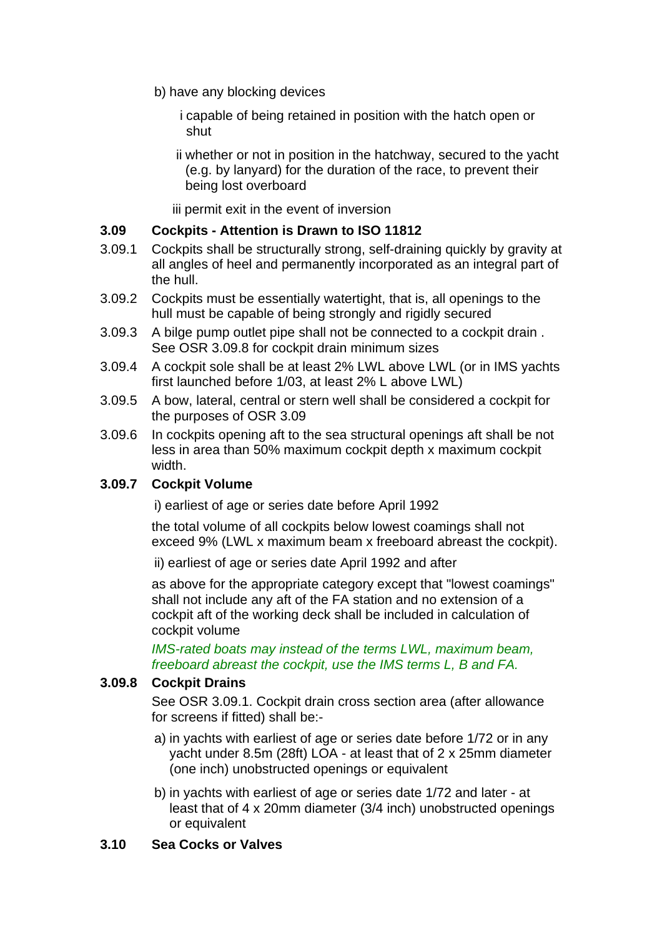- b) have any blocking devices
	- i capable of being retained in position with the hatch open or shut
	- ii whether or not in position in the hatchway, secured to the yacht (e.g. by lanyard) for the duration of the race, to prevent their being lost overboard

iii permit exit in the event of inversion

### **3.09 Cockpits - Attention is Drawn to ISO 11812**

- 3.09.1 Cockpits shall be structurally strong, self-draining quickly by gravity at all angles of heel and permanently incorporated as an integral part of the hull.
- 3.09.2 Cockpits must be essentially watertight, that is, all openings to the hull must be capable of being strongly and rigidly secured
- 3.09.3 A bilge pump outlet pipe shall not be connected to a cockpit drain . See OSR 3.09.8 for cockpit drain minimum sizes
- 3.09.4 A cockpit sole shall be at least 2% LWL above LWL (or in IMS yachts first launched before 1/03, at least 2% L above LWL)
- 3.09.5 A bow, lateral, central or stern well shall be considered a cockpit for the purposes of OSR 3.09
- 3.09.6 In cockpits opening aft to the sea structural openings aft shall be not less in area than 50% maximum cockpit depth x maximum cockpit width.

## **3.09.7 Cockpit Volume**

i) earliest of age or series date before April 1992

 the total volume of all cockpits below lowest coamings shall not exceed 9% (LWL x maximum beam x freeboard abreast the cockpit).

ii) earliest of age or series date April 1992 and after

 as above for the appropriate category except that "lowest coamings" shall not include any aft of the FA station and no extension of a cockpit aft of the working deck shall be included in calculation of cockpit volume

 *IMS-rated boats may instead of the terms LWL, maximum beam, freeboard abreast the cockpit, use the IMS terms L, B and FA.*

#### **3.09.8 Cockpit Drains**

 See OSR 3.09.1. Cockpit drain cross section area (after allowance for screens if fitted) shall be:-

- a) in yachts with earliest of age or series date before 1/72 or in any yacht under 8.5m (28ft) LOA - at least that of 2 x 25mm diameter (one inch) unobstructed openings or equivalent
- b) in yachts with earliest of age or series date 1/72 and later at least that of 4 x 20mm diameter (3/4 inch) unobstructed openings or equivalent

#### **3.10 Sea Cocks or Valves**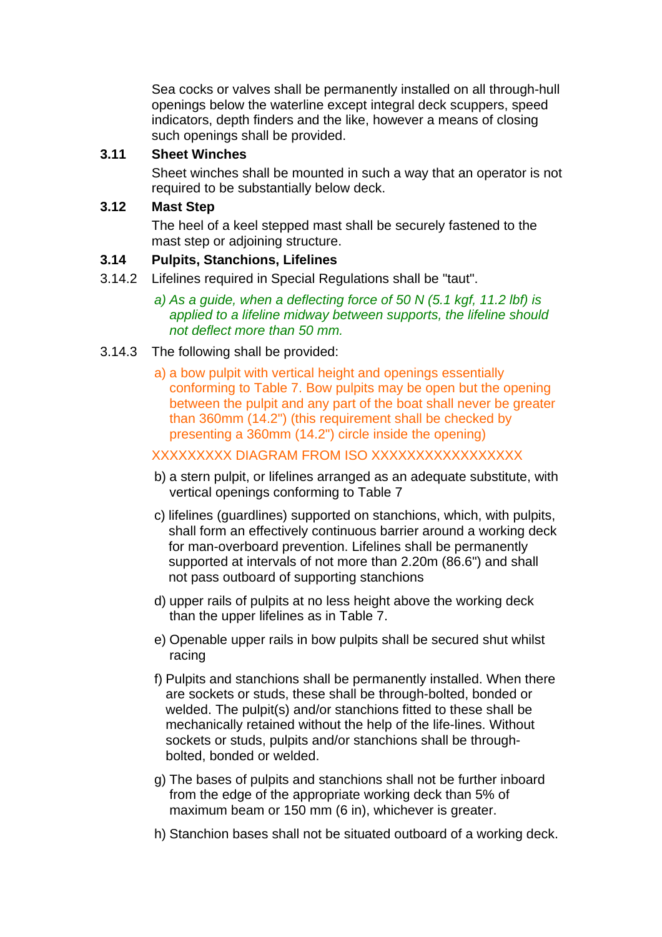Sea cocks or valves shall be permanently installed on all through-hull openings below the waterline except integral deck scuppers, speed indicators, depth finders and the like, however a means of closing such openings shall be provided.

### **3.11 Sheet Winches**

 Sheet winches shall be mounted in such a way that an operator is not required to be substantially below deck.

### **3.12 Mast Step**

 The heel of a keel stepped mast shall be securely fastened to the mast step or adjoining structure.

### **3.14 Pulpits, Stanchions, Lifelines**

- 3.14.2 Lifelines required in Special Regulations shall be "taut".
	- *a) As a guide, when a deflecting force of 50 N (5.1 kgf, 11.2 lbf) is applied to a lifeline midway between supports, the lifeline should not deflect more than 50 mm.*

### 3.14.3 The following shall be provided:

 a) a bow pulpit with vertical height and openings essentially conforming to Table 7. Bow pulpits may be open but the opening between the pulpit and any part of the boat shall never be greater than 360mm (14.2") (this requirement shall be checked by presenting a 360mm (14.2") circle inside the opening)

#### XXXXXXXXX DIAGRAM FROM ISO XXXXXXXXXXXXXXXXX

- b) a stern pulpit, or lifelines arranged as an adequate substitute, with vertical openings conforming to Table 7
- c) lifelines (guardlines) supported on stanchions, which, with pulpits, shall form an effectively continuous barrier around a working deck for man-overboard prevention. Lifelines shall be permanently supported at intervals of not more than 2.20m (86.6") and shall not pass outboard of supporting stanchions
- d) upper rails of pulpits at no less height above the working deck than the upper lifelines as in Table 7.
- e) Openable upper rails in bow pulpits shall be secured shut whilst racing
- f) Pulpits and stanchions shall be permanently installed. When there are sockets or studs, these shall be through-bolted, bonded or welded. The pulpit(s) and/or stanchions fitted to these shall be mechanically retained without the help of the life-lines. Without sockets or studs, pulpits and/or stanchions shall be throughbolted, bonded or welded.
- g) The bases of pulpits and stanchions shall not be further inboard from the edge of the appropriate working deck than 5% of maximum beam or 150 mm (6 in), whichever is greater.
- h) Stanchion bases shall not be situated outboard of a working deck.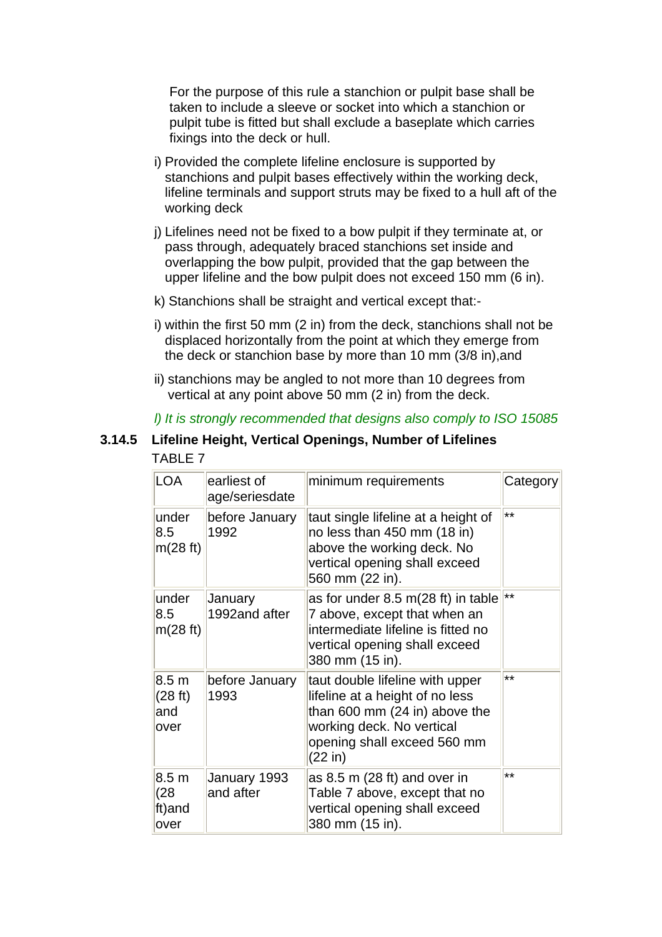For the purpose of this rule a stanchion or pulpit base shall be taken to include a sleeve or socket into which a stanchion or pulpit tube is fitted but shall exclude a baseplate which carries fixings into the deck or hull.

- i) Provided the complete lifeline enclosure is supported by stanchions and pulpit bases effectively within the working deck, lifeline terminals and support struts may be fixed to a hull aft of the working deck
- j) Lifelines need not be fixed to a bow pulpit if they terminate at, or pass through, adequately braced stanchions set inside and overlapping the bow pulpit, provided that the gap between the upper lifeline and the bow pulpit does not exceed 150 mm (6 in).
- k) Stanchions shall be straight and vertical except that:-
- i) within the first 50 mm (2 in) from the deck, stanchions shall not be displaced horizontally from the point at which they emerge from the deck or stanchion base by more than 10 mm (3/8 in),and
- ii) stanchions may be angled to not more than 10 degrees from vertical at any point above 50 mm (2 in) from the deck.

## *l) It is strongly recommended that designs also comply to ISO 15085*

### **3.14.5 Lifeline Height, Vertical Openings, Number of Lifelines** TABLE 7

| <b>LOA</b>                                 | earliest of<br>age/seriesdate | minimum requirements                                                                                                                                                       | Category |
|--------------------------------------------|-------------------------------|----------------------------------------------------------------------------------------------------------------------------------------------------------------------------|----------|
| under<br>8.5<br>m(28 ft)                   | before January<br>1992        | taut single lifeline at a height of<br>no less than 450 mm (18 in)<br>above the working deck. No<br>vertical opening shall exceed<br>560 mm (22 in).                       | $***$    |
| under<br>8.5<br>m(28 ft)                   | January<br>1992and after      | as for under 8.5 m(28 ft) in table<br>7 above, except that when an<br>intermediate lifeline is fitted no<br>vertical opening shall exceed<br>380 mm (15 in).               | $***$    |
| 8.5 <sub>m</sub><br>(28 ft)<br>and<br>over | before January<br>1993        | taut double lifeline with upper<br>lifeline at a height of no less<br>than 600 mm (24 in) above the<br>working deck. No vertical<br>opening shall exceed 560 mm<br>(22 in) | **       |
| 8.5 <sub>m</sub><br>(28)<br>ft)and<br>over | January 1993<br>and after     | as $8.5$ m (28 ft) and over in<br>Table 7 above, except that no<br>vertical opening shall exceed<br>380 mm (15 in).                                                        | **       |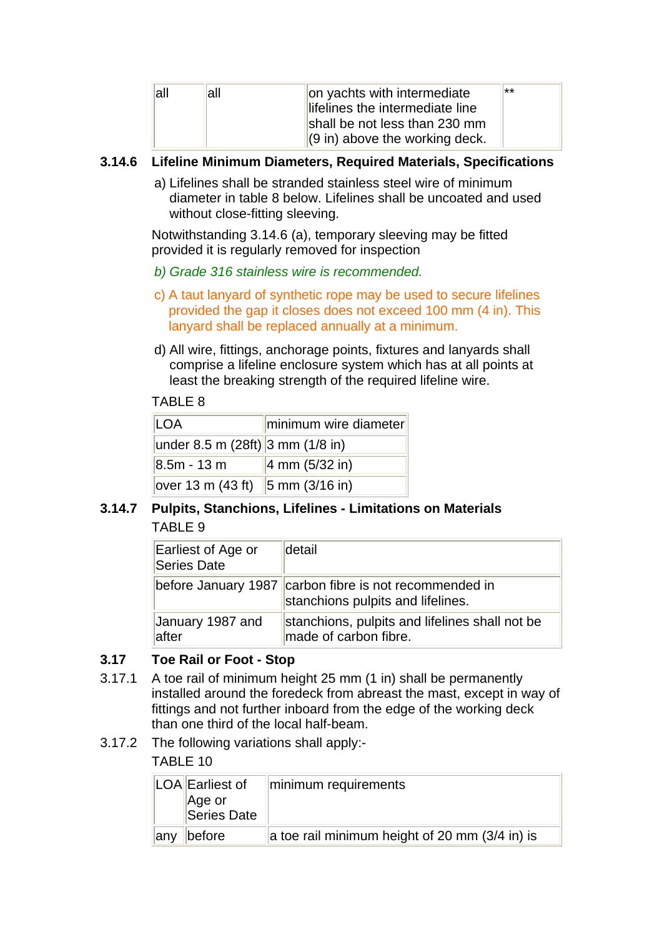| all | all | on yachts with intermediate<br>lifelines the intermediate line            | $**$ |
|-----|-----|---------------------------------------------------------------------------|------|
|     |     | shall be not less than 230 mm<br>$(9 \text{ in})$ above the working deck. |      |

### **3.14.6 Lifeline Minimum Diameters, Required Materials, Specifications**

 a) Lifelines shall be stranded stainless steel wire of minimum diameter in table 8 below. Lifelines shall be uncoated and used without close-fitting sleeving.

 Notwithstanding 3.14.6 (a), temporary sleeving may be fitted provided it is regularly removed for inspection

- *b) Grade 316 stainless wire is recommended.*
- c) A taut lanyard of synthetic rope may be used to secure lifelines provided the gap it closes does not exceed 100 mm (4 in). This lanyard shall be replaced annually at a minimum.
- d) All wire, fittings, anchorage points, fixtures and lanyards shall comprise a lifeline enclosure system which has at all points at least the breaking strength of the required lifeline wire.

#### TABLE 8

| LOA                                                  | minimum wire diameter              |
|------------------------------------------------------|------------------------------------|
| under 8.5 m (28ft) 3 mm (1/8 in)                     |                                    |
| $8.5m - 13 m$                                        | $ 4 \text{ mm } (5/32 \text{ in})$ |
| over 13 m (43 ft) $\ 5 \text{ mm} (3/16 \text{ in})$ |                                    |

## **3.14.7 Pulpits, Stanchions, Lifelines - Limitations on Materials** TABLE 9

| Earliest of Age or<br>Series Date | detail                                                                                      |
|-----------------------------------|---------------------------------------------------------------------------------------------|
|                                   | before January 1987 carbon fibre is not recommended in<br>stanchions pulpits and lifelines. |
| January 1987 and<br>lafter        | stanchions, pulpits and lifelines shall not be<br>made of carbon fibre.                     |

#### **3.17 Toe Rail or Foot - Stop**

- 3.17.1 A toe rail of minimum height 25 mm (1 in) shall be permanently installed around the foredeck from abreast the mast, except in way of fittings and not further inboard from the edge of the working deck than one third of the local half-beam.
- 3.17.2 The following variations shall apply:-

TABLE 10

|      | LOA Earliest of<br>Age or<br>Series Date | minimum requirements                           |
|------|------------------------------------------|------------------------------------------------|
| lanv | before                                   | a toe rail minimum height of 20 mm (3/4 in) is |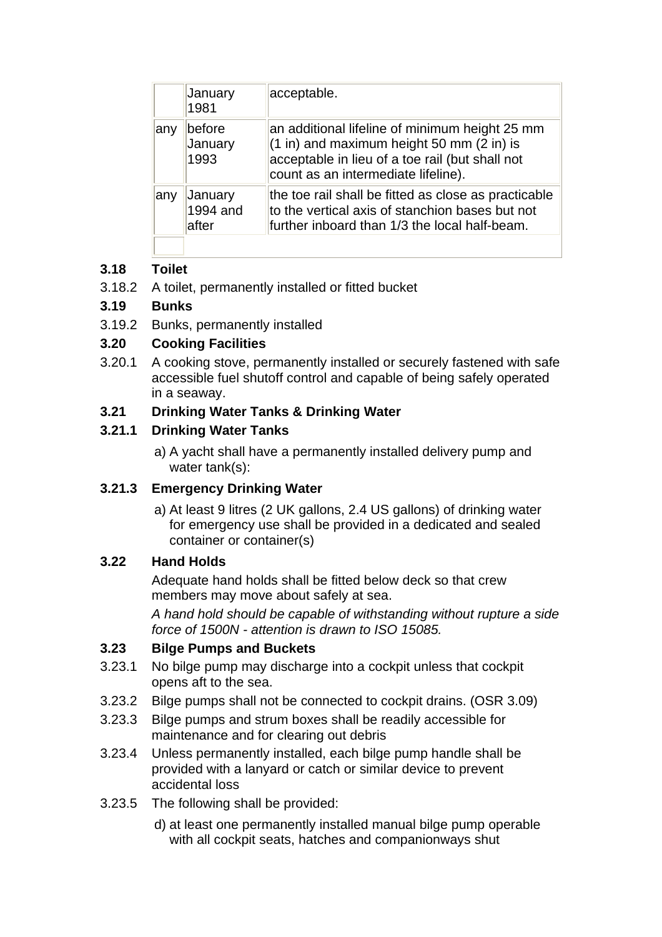|      | January<br>1981              | acceptable.                                                                                                                                                                                               |
|------|------------------------------|-----------------------------------------------------------------------------------------------------------------------------------------------------------------------------------------------------------|
| ∣any | before<br>January<br>1993    | an additional lifeline of minimum height 25 mm<br>$(1 \text{ in})$ and maximum height 50 mm $(2 \text{ in})$ is<br>acceptable in lieu of a toe rail (but shall not<br>count as an intermediate lifeline). |
| ∣any | January<br>1994 and<br>after | the toe rail shall be fitted as close as practicable<br>to the vertical axis of stanchion bases but not<br>further inboard than 1/3 the local half-beam.                                                  |

# **3.18 Toilet**

3.18.2 A toilet, permanently installed or fitted bucket

## **3.19 Bunks**

3.19.2 Bunks, permanently installed

## **3.20 Cooking Facilities**

3.20.1 A cooking stove, permanently installed or securely fastened with safe accessible fuel shutoff control and capable of being safely operated in a seaway.

## **3.21 Drinking Water Tanks & Drinking Water**

## **3.21.1 Drinking Water Tanks**

 a) A yacht shall have a permanently installed delivery pump and water tank(s):

## **3.21.3 Emergency Drinking Water**

 a) At least 9 litres (2 UK gallons, 2.4 US gallons) of drinking water for emergency use shall be provided in a dedicated and sealed container or container(s)

# **3.22 Hand Holds**

 Adequate hand holds shall be fitted below deck so that crew members may move about safely at sea.

 *A hand hold should be capable of withstanding without rupture a side force of 1500N - attention is drawn to ISO 15085.*

# **3.23 Bilge Pumps and Buckets**

- 3.23.1 No bilge pump may discharge into a cockpit unless that cockpit opens aft to the sea.
- 3.23.2 Bilge pumps shall not be connected to cockpit drains. (OSR 3.09)
- 3.23.3 Bilge pumps and strum boxes shall be readily accessible for maintenance and for clearing out debris
- 3.23.4 Unless permanently installed, each bilge pump handle shall be provided with a lanyard or catch or similar device to prevent accidental loss
- 3.23.5 The following shall be provided:
	- d) at least one permanently installed manual bilge pump operable with all cockpit seats, hatches and companionways shut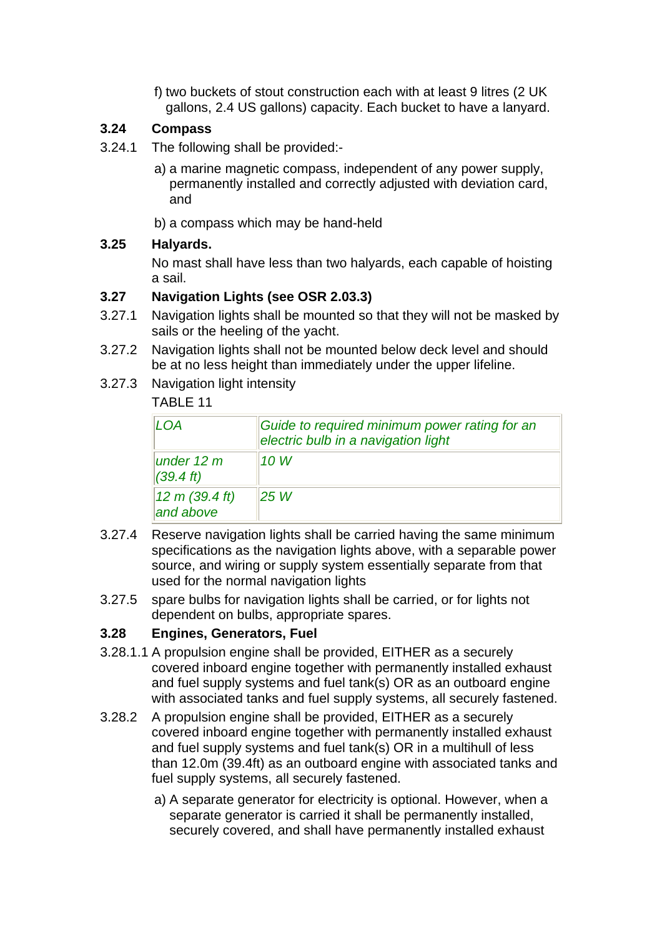f) two buckets of stout construction each with at least 9 litres (2 UK gallons, 2.4 US gallons) capacity. Each bucket to have a lanyard.

## **3.24 Compass**

- 3.24.1 The following shall be provided:
	- a) a marine magnetic compass, independent of any power supply, permanently installed and correctly adjusted with deviation card, and
	- b) a compass which may be hand-held

## **3.25 Halyards.**

 No mast shall have less than two halyards, each capable of hoisting a sail.

## **3.27 Navigation Lights (see OSR 2.03.3)**

- 3.27.1 Navigation lights shall be mounted so that they will not be masked by sails or the heeling of the yacht.
- 3.27.2 Navigation lights shall not be mounted below deck level and should be at no less height than immediately under the upper lifeline.
- 3.27.3 Navigation light intensity

# TABLE 11

| LOA                                 | Guide to required minimum power rating for an<br>electric bulb in a navigation light |
|-------------------------------------|--------------------------------------------------------------------------------------|
| under 12 $m$<br>$(39.4 \text{ ft})$ | 10 W                                                                                 |
| 12 m (39.4 ft)<br>and above         | 25W                                                                                  |

- 3.27.4 Reserve navigation lights shall be carried having the same minimum specifications as the navigation lights above, with a separable power source, and wiring or supply system essentially separate from that used for the normal navigation lights
- 3.27.5 spare bulbs for navigation lights shall be carried, or for lights not dependent on bulbs, appropriate spares.

## **3.28 Engines, Generators, Fuel**

- 3.28.1.1 A propulsion engine shall be provided, EITHER as a securely covered inboard engine together with permanently installed exhaust and fuel supply systems and fuel tank(s) OR as an outboard engine with associated tanks and fuel supply systems, all securely fastened.
- 3.28.2 A propulsion engine shall be provided, EITHER as a securely covered inboard engine together with permanently installed exhaust and fuel supply systems and fuel tank(s) OR in a multihull of less than 12.0m (39.4ft) as an outboard engine with associated tanks and fuel supply systems, all securely fastened.
	- a) A separate generator for electricity is optional. However, when a separate generator is carried it shall be permanently installed, securely covered, and shall have permanently installed exhaust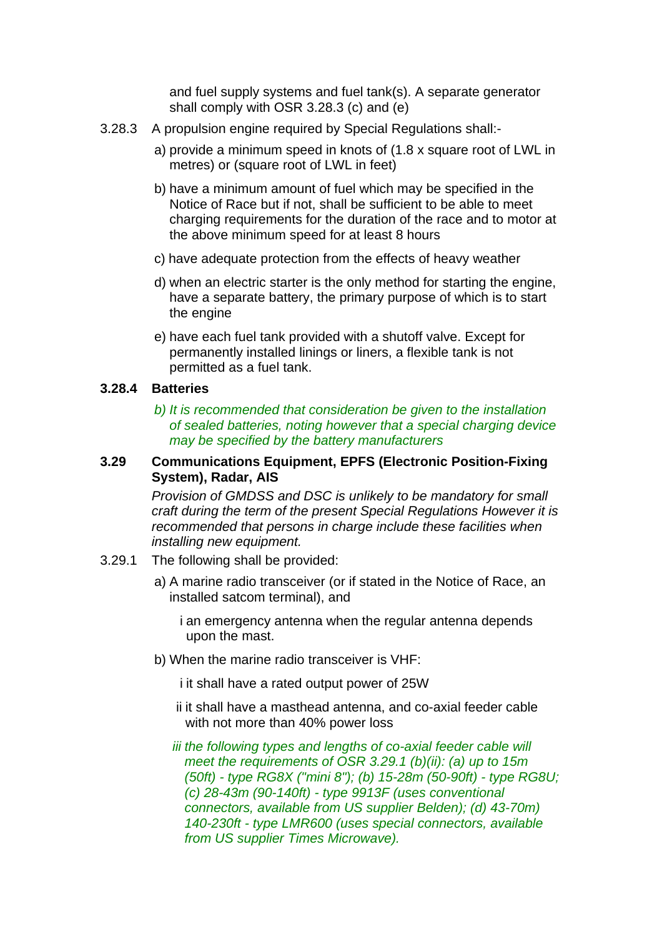and fuel supply systems and fuel tank(s). A separate generator shall comply with OSR 3.28.3 (c) and (e)

- 3.28.3 A propulsion engine required by Special Regulations shall:
	- a) provide a minimum speed in knots of (1.8 x square root of LWL in metres) or (square root of LWL in feet)
	- b) have a minimum amount of fuel which may be specified in the Notice of Race but if not, shall be sufficient to be able to meet charging requirements for the duration of the race and to motor at the above minimum speed for at least 8 hours
	- c) have adequate protection from the effects of heavy weather
	- d) when an electric starter is the only method for starting the engine, have a separate battery, the primary purpose of which is to start the engine
	- e) have each fuel tank provided with a shutoff valve. Except for permanently installed linings or liners, a flexible tank is not permitted as a fuel tank.

#### **3.28.4 Batteries**

 *b) It is recommended that consideration be given to the installation of sealed batteries, noting however that a special charging device may be specified by the battery manufacturers*

#### **3.29 Communications Equipment, EPFS (Electronic Position-Fixing System), Radar, AIS**

 *Provision of GMDSS and DSC is unlikely to be mandatory for small craft during the term of the present Special Regulations However it is recommended that persons in charge include these facilities when installing new equipment.* 

- 3.29.1 The following shall be provided:
	- a) A marine radio transceiver (or if stated in the Notice of Race, an installed satcom terminal), and

 i an emergency antenna when the regular antenna depends upon the mast.

b) When the marine radio transceiver is VHF:

i it shall have a rated output power of 25W

- ii it shall have a masthead antenna, and co-axial feeder cable with not more than 40% power loss
- *iii the following types and lengths of co-axial feeder cable will meet the requirements of OSR 3.29.1 (b)(ii): (a) up to 15m (50ft) - type RG8X ("mini 8"); (b) 15-28m (50-90ft) - type RG8U; (c) 28-43m (90-140ft) - type 9913F (uses conventional connectors, available from US supplier Belden); (d) 43-70m) 140-230ft - type LMR600 (uses special connectors, available from US supplier Times Microwave).*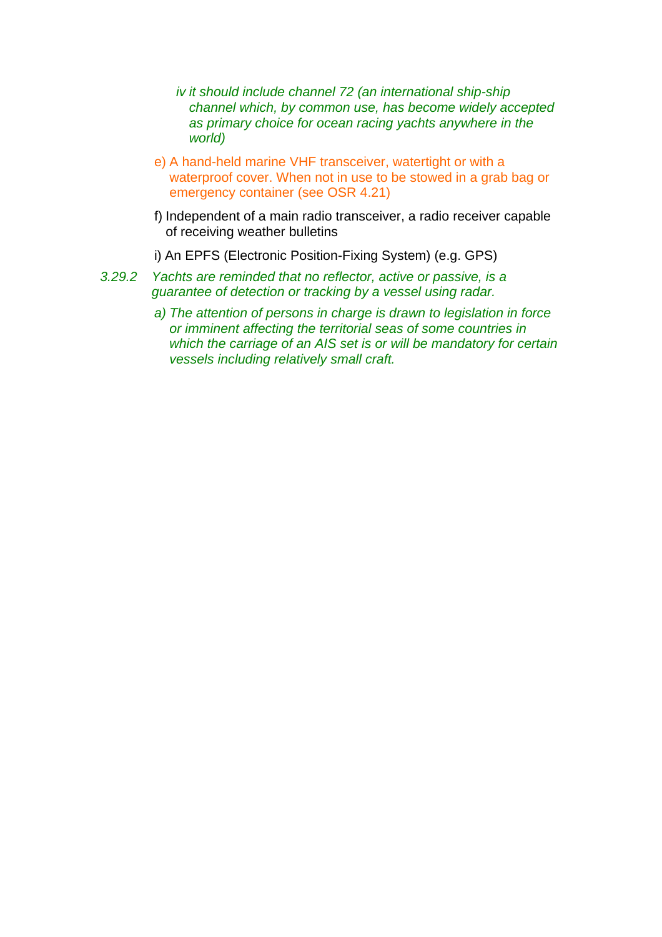- *iv it should include channel 72 (an international ship-ship channel which, by common use, has become widely accepted as primary choice for ocean racing yachts anywhere in the world)*
- e) A hand-held marine VHF transceiver, watertight or with a waterproof cover. When not in use to be stowed in a grab bag or emergency container (see OSR 4.21)
- f) Independent of a main radio transceiver, a radio receiver capable of receiving weather bulletins
- i) An EPFS (Electronic Position-Fixing System) (e.g. GPS)
- *3.29.2 Yachts are reminded that no reflector, active or passive, is a guarantee of detection or tracking by a vessel using radar.*
	- *a) The attention of persons in charge is drawn to legislation in force or imminent affecting the territorial seas of some countries in which the carriage of an AIS set is or will be mandatory for certain vessels including relatively small craft.*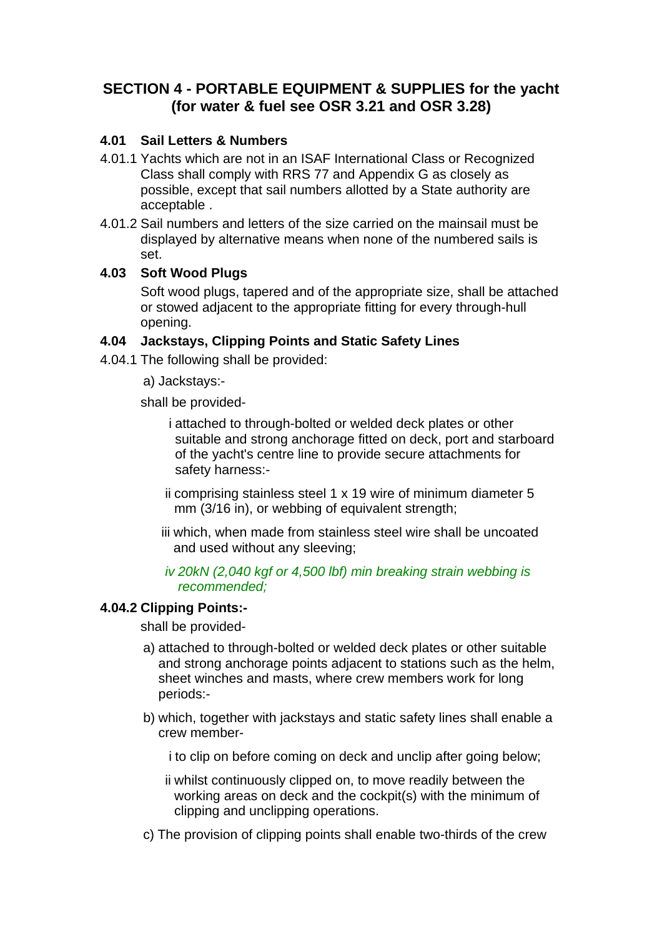# **SECTION 4 - PORTABLE EQUIPMENT & SUPPLIES for the yacht (for water & fuel see OSR 3.21 and OSR 3.28)**

### **4.01 Sail Letters & Numbers**

- 4.01.1 Yachts which are not in an ISAF International Class or Recognized Class shall comply with RRS 77 and Appendix G as closely as possible, except that sail numbers allotted by a State authority are acceptable .
- 4.01.2 Sail numbers and letters of the size carried on the mainsail must be displayed by alternative means when none of the numbered sails is set.

#### **4.03 Soft Wood Plugs**

 Soft wood plugs, tapered and of the appropriate size, shall be attached or stowed adjacent to the appropriate fitting for every through-hull opening.

### **4.04 Jackstays, Clipping Points and Static Safety Lines**

- 4.04.1 The following shall be provided:
	- a) Jackstays:-

shall be provided-

 i attached to through-bolted or welded deck plates or other suitable and strong anchorage fitted on deck, port and starboard of the yacht's centre line to provide secure attachments for safety harness:-

- ii comprising stainless steel 1 x 19 wire of minimum diameter 5 mm (3/16 in), or webbing of equivalent strength;
- iii which, when made from stainless steel wire shall be uncoated and used without any sleeving;

#### *iv 20kN (2,040 kgf or 4,500 lbf) min breaking strain webbing is recommended;*

#### **4.04.2 Clipping Points:-**

shall be provided-

- a) attached to through-bolted or welded deck plates or other suitable and strong anchorage points adjacent to stations such as the helm, sheet winches and masts, where crew members work for long periods:-
- b) which, together with jackstays and static safety lines shall enable a crew member-

i to clip on before coming on deck and unclip after going below;

- ii whilst continuously clipped on, to move readily between the working areas on deck and the cockpit(s) with the minimum of clipping and unclipping operations.
- c) The provision of clipping points shall enable two-thirds of the crew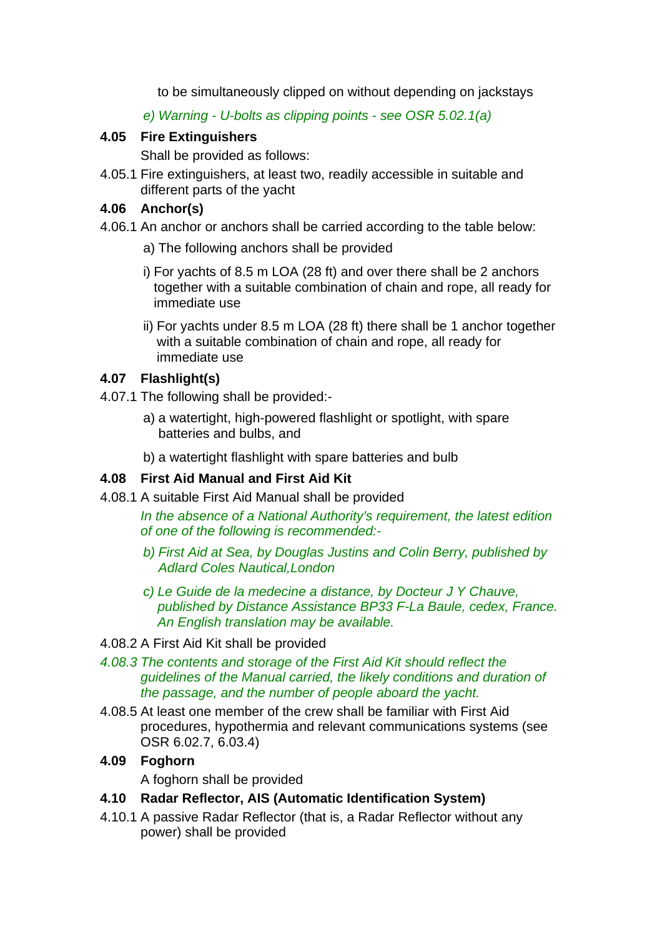to be simultaneously clipped on without depending on jackstays

*e) Warning - U-bolts as clipping points - see OSR 5.02.1(a)*

## **4.05 Fire Extinguishers**

Shall be provided as follows:

4.05.1 Fire extinguishers, at least two, readily accessible in suitable and different parts of the yacht

## **4.06 Anchor(s)**

- 4.06.1 An anchor or anchors shall be carried according to the table below:
	- a) The following anchors shall be provided
	- i) For yachts of 8.5 m LOA (28 ft) and over there shall be 2 anchors together with a suitable combination of chain and rope, all ready for immediate use
	- ii) For yachts under 8.5 m LOA (28 ft) there shall be 1 anchor together with a suitable combination of chain and rope, all ready for immediate use

## **4.07 Flashlight(s)**

- 4.07.1 The following shall be provided:
	- a) a watertight, high-powered flashlight or spotlight, with spare batteries and bulbs, and
	- b) a watertight flashlight with spare batteries and bulb

# **4.08 First Aid Manual and First Aid Kit**

4.08.1 A suitable First Aid Manual shall be provided

 *In the absence of a National Authority's requirement, the latest edition of one of the following is recommended:-*

- *b) First Aid at Sea, by Douglas Justins and Colin Berry, published by Adlard Coles Nautical,London*
- *c) Le Guide de la medecine a distance, by Docteur J Y Chauve, published by Distance Assistance BP33 F-La Baule, cedex, France. An English translation may be available.*
- 4.08.2 A First Aid Kit shall be provided
- *4.08.3 The contents and storage of the First Aid Kit should reflect the guidelines of the Manual carried, the likely conditions and duration of the passage, and the number of people aboard the yacht.*
- 4.08.5 At least one member of the crew shall be familiar with First Aid procedures, hypothermia and relevant communications systems (see OSR 6.02.7, 6.03.4)

# **4.09 Foghorn**

A foghorn shall be provided

## **4.10 Radar Reflector, AIS (Automatic Identification System)**

4.10.1 A passive Radar Reflector (that is, a Radar Reflector without any power) shall be provided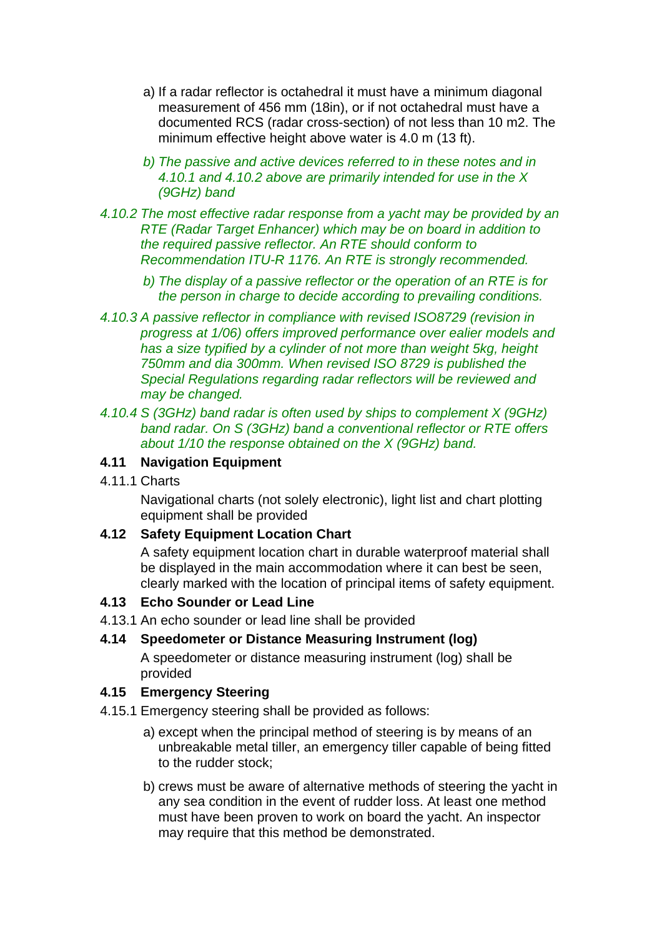- a) If a radar reflector is octahedral it must have a minimum diagonal measurement of 456 mm (18in), or if not octahedral must have a documented RCS (radar cross-section) of not less than 10 m2. The minimum effective height above water is 4.0 m (13 ft).
- *b) The passive and active devices referred to in these notes and in 4.10.1 and 4.10.2 above are primarily intended for use in the X (9GHz) band*
- *4.10.2 The most effective radar response from a yacht may be provided by an RTE (Radar Target Enhancer) which may be on board in addition to the required passive reflector. An RTE should conform to Recommendation ITU-R 1176. An RTE is strongly recommended.*
	- *b) The display of a passive reflector or the operation of an RTE is for the person in charge to decide according to prevailing conditions.*
- *4.10.3 A passive reflector in compliance with revised ISO8729 (revision in progress at 1/06) offers improved performance over ealier models and has a size typified by a cylinder of not more than weight 5kg, height 750mm and dia 300mm. When revised ISO 8729 is published the Special Regulations regarding radar reflectors will be reviewed and may be changed.*
- *4.10.4 S (3GHz) band radar is often used by ships to complement X (9GHz) band radar. On S (3GHz) band a conventional reflector or RTE offers about 1/10 the response obtained on the X (9GHz) band.*

### **4.11 Navigation Equipment**

4.11.1 Charts

 Navigational charts (not solely electronic), light list and chart plotting equipment shall be provided

## **4.12 Safety Equipment Location Chart**

 A safety equipment location chart in durable waterproof material shall be displayed in the main accommodation where it can best be seen, clearly marked with the location of principal items of safety equipment.

## **4.13 Echo Sounder or Lead Line**

4.13.1 An echo sounder or lead line shall be provided

## **4.14 Speedometer or Distance Measuring Instrument (log)**

 A speedometer or distance measuring instrument (log) shall be provided

## **4.15 Emergency Steering**

- 4.15.1 Emergency steering shall be provided as follows:
	- a) except when the principal method of steering is by means of an unbreakable metal tiller, an emergency tiller capable of being fitted to the rudder stock;
	- b) crews must be aware of alternative methods of steering the yacht in any sea condition in the event of rudder loss. At least one method must have been proven to work on board the yacht. An inspector may require that this method be demonstrated.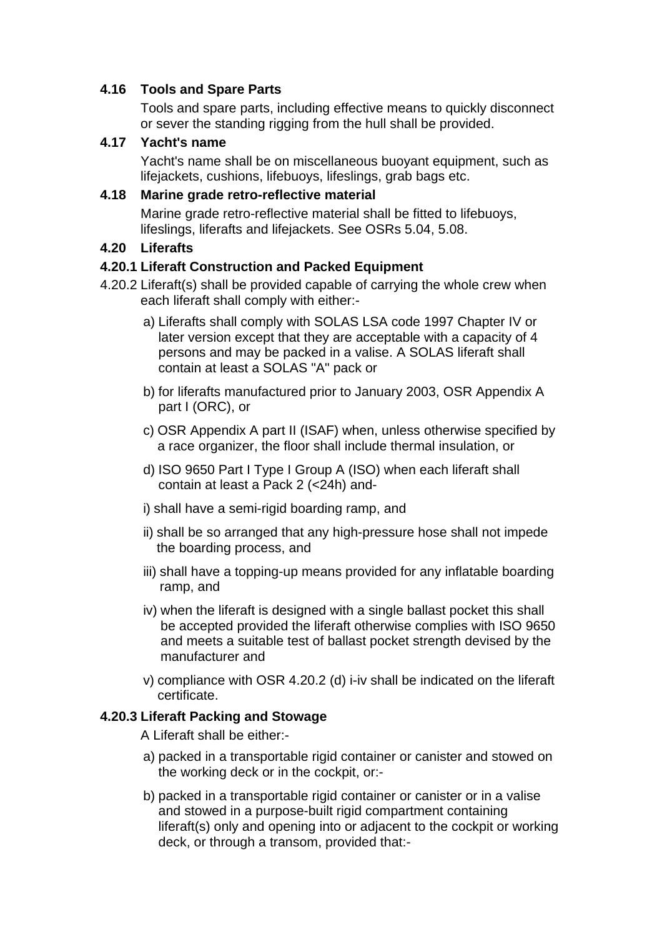### **4.16 Tools and Spare Parts**

 Tools and spare parts, including effective means to quickly disconnect or sever the standing rigging from the hull shall be provided.

#### **4.17 Yacht's name**

 Yacht's name shall be on miscellaneous buoyant equipment, such as lifejackets, cushions, lifebuoys, lifeslings, grab bags etc.

#### **4.18 Marine grade retro-reflective material**

 Marine grade retro-reflective material shall be fitted to lifebuoys, lifeslings, liferafts and lifejackets. See OSRs 5.04, 5.08.

## **4.20 Liferafts**

### **4.20.1 Liferaft Construction and Packed Equipment**

- 4.20.2 Liferaft(s) shall be provided capable of carrying the whole crew when each liferaft shall comply with either:
	- a) Liferafts shall comply with SOLAS LSA code 1997 Chapter IV or later version except that they are acceptable with a capacity of 4 persons and may be packed in a valise. A SOLAS liferaft shall contain at least a SOLAS "A" pack or
	- b) for liferafts manufactured prior to January 2003, OSR Appendix A part I (ORC), or
	- c) OSR Appendix A part II (ISAF) when, unless otherwise specified by a race organizer, the floor shall include thermal insulation, or
	- d) ISO 9650 Part I Type I Group A (ISO) when each liferaft shall contain at least a Pack 2 (<24h) and-
	- i) shall have a semi-rigid boarding ramp, and
	- ii) shall be so arranged that any high-pressure hose shall not impede the boarding process, and
	- iii) shall have a topping-up means provided for any inflatable boarding ramp, and
	- iv) when the liferaft is designed with a single ballast pocket this shall be accepted provided the liferaft otherwise complies with ISO 9650 and meets a suitable test of ballast pocket strength devised by the manufacturer and
	- v) compliance with OSR 4.20.2 (d) i-iv shall be indicated on the liferaft certificate.

## **4.20.3 Liferaft Packing and Stowage**

A Liferaft shall be either:-

- a) packed in a transportable rigid container or canister and stowed on the working deck or in the cockpit, or:-
- b) packed in a transportable rigid container or canister or in a valise and stowed in a purpose-built rigid compartment containing liferaft(s) only and opening into or adjacent to the cockpit or working deck, or through a transom, provided that:-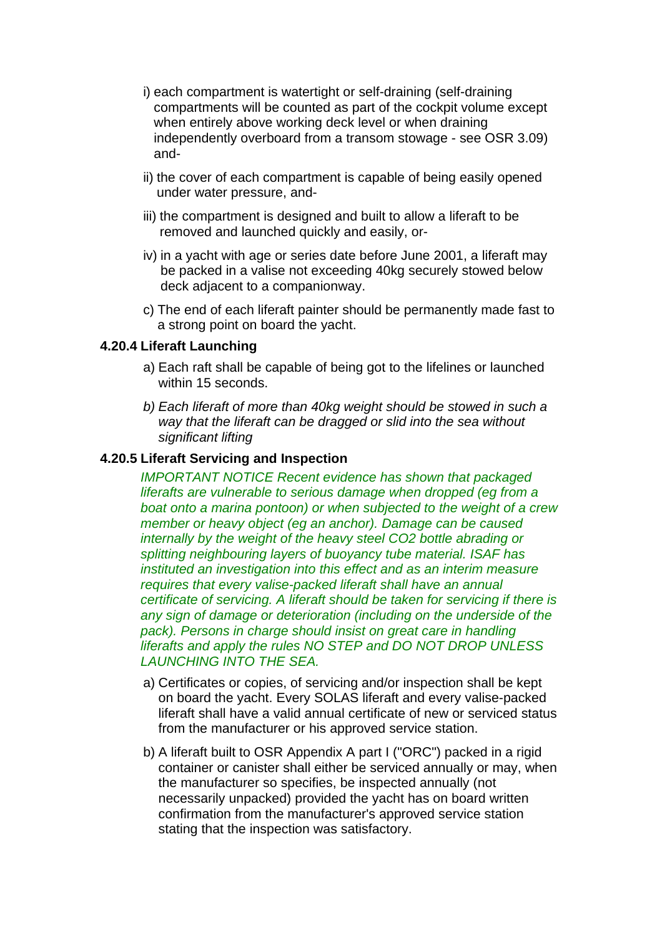- i) each compartment is watertight or self-draining (self-draining compartments will be counted as part of the cockpit volume except when entirely above working deck level or when draining independently overboard from a transom stowage - see OSR 3.09) and-
- ii) the cover of each compartment is capable of being easily opened under water pressure, and-
- iii) the compartment is designed and built to allow a liferaft to be removed and launched quickly and easily, or-
- iv) in a yacht with age or series date before June 2001, a liferaft may be packed in a valise not exceeding 40kg securely stowed below deck adjacent to a companionway.
- c) The end of each liferaft painter should be permanently made fast to a strong point on board the yacht.

#### **4.20.4 Liferaft Launching**

- a) Each raft shall be capable of being got to the lifelines or launched within 15 seconds.
- *b) Each liferaft of more than 40kg weight should be stowed in such a way that the liferaft can be dragged or slid into the sea without significant lifting*

#### **4.20.5 Liferaft Servicing and Inspection**

 *IMPORTANT NOTICE Recent evidence has shown that packaged liferafts are vulnerable to serious damage when dropped (eg from a boat onto a marina pontoon) or when subjected to the weight of a crew member or heavy object (eg an anchor). Damage can be caused internally by the weight of the heavy steel CO2 bottle abrading or splitting neighbouring layers of buoyancy tube material. ISAF has instituted an investigation into this effect and as an interim measure requires that every valise-packed liferaft shall have an annual certificate of servicing. A liferaft should be taken for servicing if there is any sign of damage or deterioration (including on the underside of the*  pack). Persons in charge should insist on great care in handling *liferafts and apply the rules NO STEP and DO NOT DROP UNLESS LAUNCHING INTO THE SEA.*

- a) Certificates or copies, of servicing and/or inspection shall be kept on board the yacht. Every SOLAS liferaft and every valise-packed liferaft shall have a valid annual certificate of new or serviced status from the manufacturer or his approved service station.
- b) A liferaft built to OSR Appendix A part I ("ORC") packed in a rigid container or canister shall either be serviced annually or may, when the manufacturer so specifies, be inspected annually (not necessarily unpacked) provided the yacht has on board written confirmation from the manufacturer's approved service station stating that the inspection was satisfactory.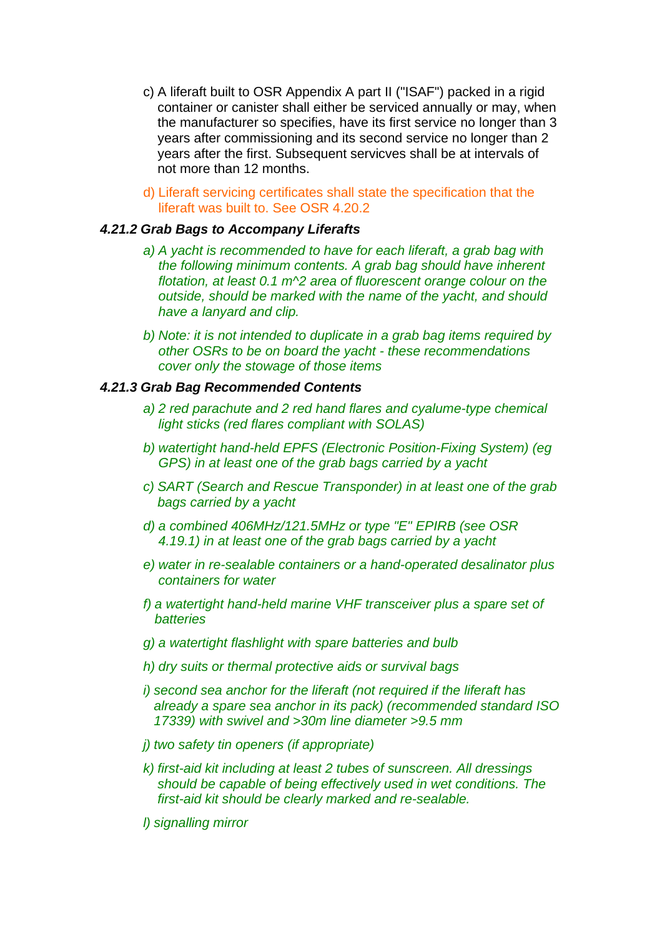- c) A liferaft built to OSR Appendix A part II ("ISAF") packed in a rigid container or canister shall either be serviced annually or may, when the manufacturer so specifies, have its first service no longer than 3 years after commissioning and its second service no longer than 2 years after the first. Subsequent servicves shall be at intervals of not more than 12 months.
- d) Liferaft servicing certificates shall state the specification that the liferaft was built to. See OSR 4.20.2

#### *4.21.2 Grab Bags to Accompany Liferafts*

- *a) A yacht is recommended to have for each liferaft, a grab bag with the following minimum contents. A grab bag should have inherent flotation, at least 0.1 m^2 area of fluorescent orange colour on the outside, should be marked with the name of the yacht, and should have a lanyard and clip.*
- *b) Note: it is not intended to duplicate in a grab bag items required by other OSRs to be on board the yacht - these recommendations cover only the stowage of those items*

#### *4.21.3 Grab Bag Recommended Contents*

- *a) 2 red parachute and 2 red hand flares and cyalume-type chemical light sticks (red flares compliant with SOLAS)*
- *b) watertight hand-held EPFS (Electronic Position-Fixing System) (eg GPS) in at least one of the grab bags carried by a yacht*
- *c) SART (Search and Rescue Transponder) in at least one of the grab bags carried by a yacht*
- *d) a combined 406MHz/121.5MHz or type "E" EPIRB (see OSR 4.19.1) in at least one of the grab bags carried by a yacht*
- *e) water in re-sealable containers or a hand-operated desalinator plus containers for water*
- *f) a watertight hand-held marine VHF transceiver plus a spare set of batteries*
- *g) a watertight flashlight with spare batteries and bulb*
- *h) dry suits or thermal protective aids or survival bags*
- *i) second sea anchor for the liferaft (not required if the liferaft has already a spare sea anchor in its pack) (recommended standard ISO 17339) with swivel and >30m line diameter >9.5 mm*
- *j) two safety tin openers (if appropriate)*
- *k) first-aid kit including at least 2 tubes of sunscreen. All dressings should be capable of being effectively used in wet conditions. The first-aid kit should be clearly marked and re-sealable.*
- *l) signalling mirror*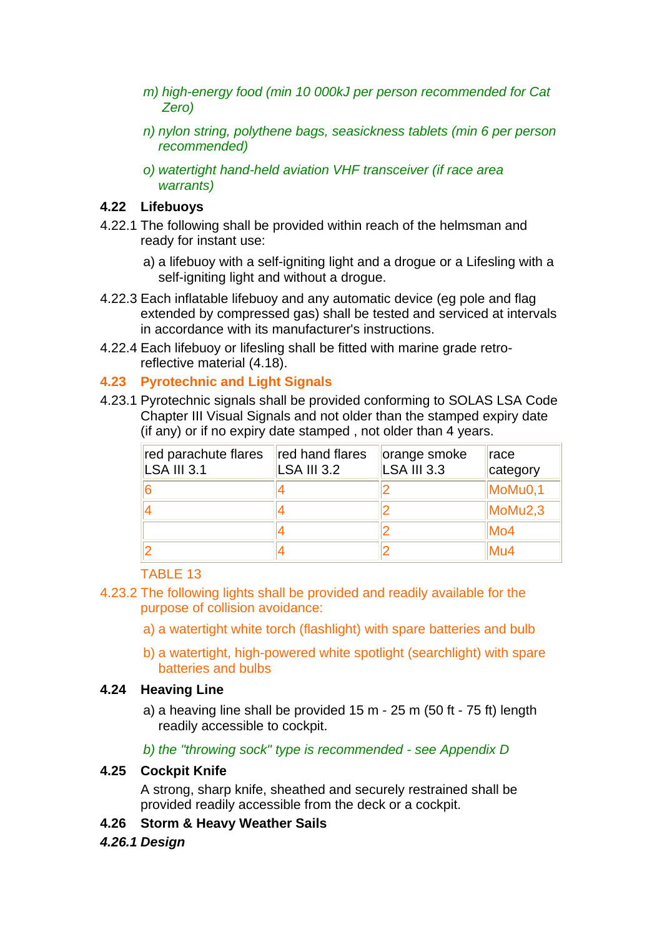- *m) high-energy food (min 10 000kJ per person recommended for Cat Zero)*
- *n) nylon string, polythene bags, seasickness tablets (min 6 per person recommended)*
- *o) watertight hand-held aviation VHF transceiver (if race area warrants)*

## **4.22 Lifebuoys**

- 4.22.1 The following shall be provided within reach of the helmsman and ready for instant use:
	- a) a lifebuoy with a self-igniting light and a drogue or a Lifesling with a self-igniting light and without a drogue.
- 4.22.3 Each inflatable lifebuoy and any automatic device (eg pole and flag extended by compressed gas) shall be tested and serviced at intervals in accordance with its manufacturer's instructions.
- 4.22.4 Each lifebuoy or lifesling shall be fitted with marine grade retroreflective material (4.18).

### **4.23 Pyrotechnic and Light Signals**

4.23.1 Pyrotechnic signals shall be provided conforming to SOLAS LSA Code Chapter III Visual Signals and not older than the stamped expiry date (if any) or if no expiry date stamped , not older than 4 years.

| red parachute flares<br><b>LSA III 3.1</b> | red hand flares<br>LSA III 3.2 | orange smoke<br><b>LSA III 3.3</b> | race<br>category |
|--------------------------------------------|--------------------------------|------------------------------------|------------------|
|                                            |                                |                                    | MoMu0,1          |
|                                            |                                |                                    | MoMu2,3          |
|                                            |                                |                                    | Mo4              |
|                                            |                                |                                    | Mu4              |

#### TABLE 13

- 4.23.2 The following lights shall be provided and readily available for the purpose of collision avoidance:
	- a) a watertight white torch (flashlight) with spare batteries and bulb
	- b) a watertight, high-powered white spotlight (searchlight) with spare batteries and bulbs

#### **4.24 Heaving Line**

 a) a heaving line shall be provided 15 m - 25 m (50 ft - 75 ft) length readily accessible to cockpit.

*b) the "throwing sock" type is recommended - see Appendix D*

### **4.25 Cockpit Knife**

 A strong, sharp knife, sheathed and securely restrained shall be provided readily accessible from the deck or a cockpit.

#### **4.26 Storm & Heavy Weather Sails**

#### *4.26.1 Design*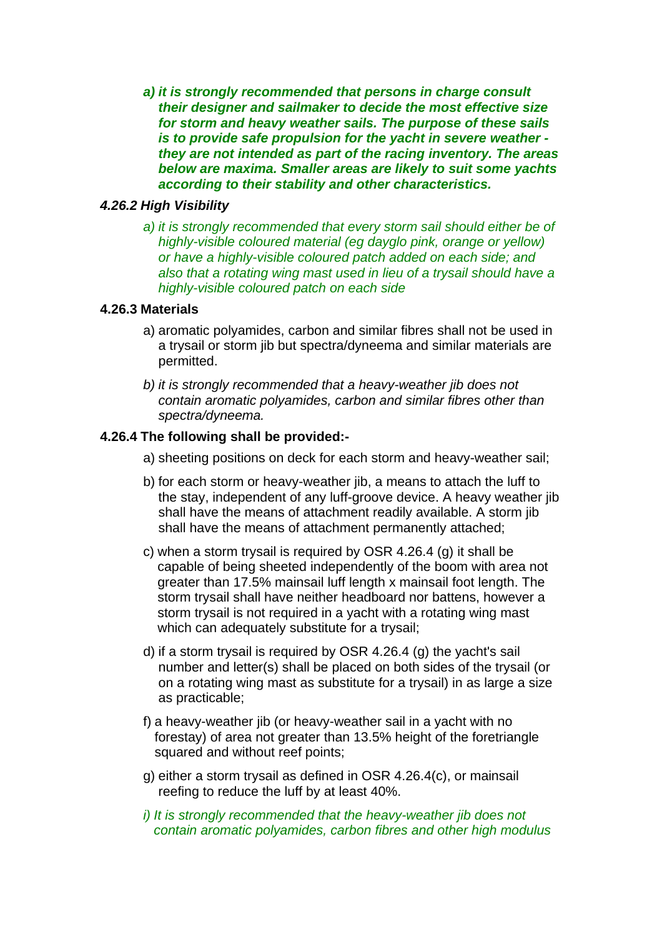*a) it is strongly recommended that persons in charge consult their designer and sailmaker to decide the most effective size for storm and heavy weather sails. The purpose of these sails is to provide safe propulsion for the yacht in severe weather they are not intended as part of the racing inventory. The areas below are maxima. Smaller areas are likely to suit some yachts according to their stability and other characteristics.* 

#### *4.26.2 High Visibility*

 *a) it is strongly recommended that every storm sail should either be of highly-visible coloured material (eg dayglo pink, orange or yellow) or have a highly-visible coloured patch added on each side; and also that a rotating wing mast used in lieu of a trysail should have a highly-visible coloured patch on each side* 

#### **4.26.3 Materials**

- a) aromatic polyamides, carbon and similar fibres shall not be used in a trysail or storm jib but spectra/dyneema and similar materials are permitted.
- *b) it is strongly recommended that a heavy-weather jib does not contain aromatic polyamides, carbon and similar fibres other than spectra/dyneema.*

#### **4.26.4 The following shall be provided:-**

- a) sheeting positions on deck for each storm and heavy-weather sail;
- b) for each storm or heavy-weather jib, a means to attach the luff to the stay, independent of any luff-groove device. A heavy weather jib shall have the means of attachment readily available. A storm jib shall have the means of attachment permanently attached;
- c) when a storm trysail is required by OSR 4.26.4 (g) it shall be capable of being sheeted independently of the boom with area not greater than 17.5% mainsail luff length x mainsail foot length. The storm trysail shall have neither headboard nor battens, however a storm trysail is not required in a yacht with a rotating wing mast which can adequately substitute for a trysail;
- d) if a storm trysail is required by OSR 4.26.4 (g) the yacht's sail number and letter(s) shall be placed on both sides of the trysail (or on a rotating wing mast as substitute for a trysail) in as large a size as practicable;
- f) a heavy-weather jib (or heavy-weather sail in a yacht with no forestay) of area not greater than 13.5% height of the foretriangle squared and without reef points;
- g) either a storm trysail as defined in OSR 4.26.4(c), or mainsail reefing to reduce the luff by at least 40%.
- *i) It is strongly recommended that the heavy-weather jib does not contain aromatic polyamides, carbon fibres and other high modulus*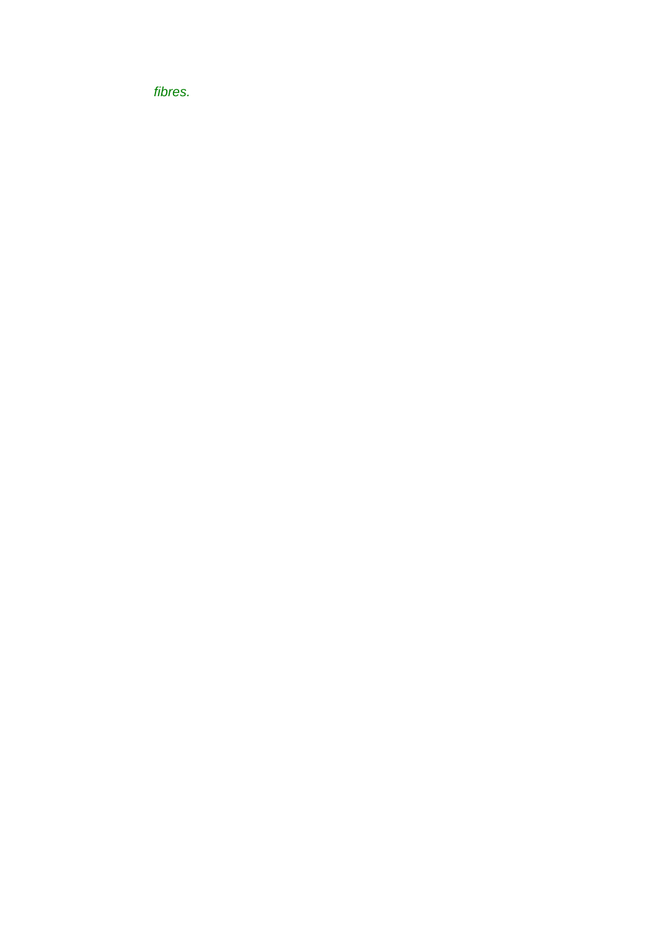*fibres.*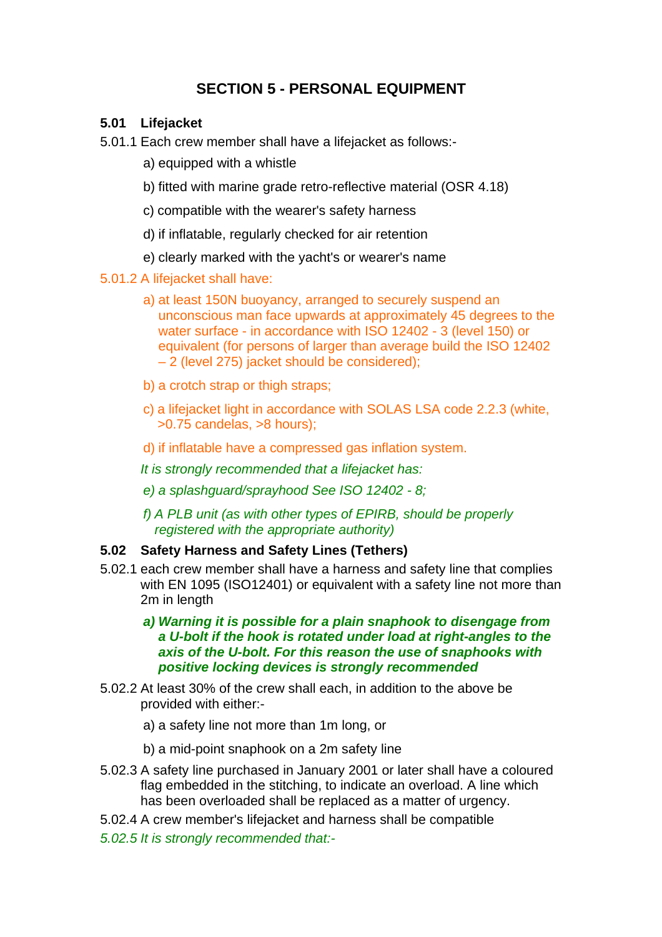# **SECTION 5 - PERSONAL EQUIPMENT**

### **5.01 Lifejacket**

- 5.01.1 Each crew member shall have a lifejacket as follows:
	- a) equipped with a whistle
	- b) fitted with marine grade retro-reflective material (OSR 4.18)
	- c) compatible with the wearer's safety harness
	- d) if inflatable, regularly checked for air retention
	- e) clearly marked with the yacht's or wearer's name

### 5.01.2 A lifejacket shall have:

- a) at least 150N buoyancy, arranged to securely suspend an unconscious man face upwards at approximately 45 degrees to the water surface - in accordance with ISO 12402 - 3 (level 150) or equivalent (for persons of larger than average build the ISO 12402 – 2 (level 275) jacket should be considered);
- b) a crotch strap or thigh straps:
- c) a lifejacket light in accordance with SOLAS LSA code 2.2.3 (white, >0.75 candelas, >8 hours);
- d) if inflatable have a compressed gas inflation system.
- *It is strongly recommended that a lifejacket has:*
- *e) a splashguard/sprayhood See ISO 12402 8;*
- *f) A PLB unit (as with other types of EPIRB, should be properly registered with the appropriate authority)*

#### **5.02 Safety Harness and Safety Lines (Tethers)**

- 5.02.1 each crew member shall have a harness and safety line that complies with EN 1095 (ISO12401) or equivalent with a safety line not more than 2m in length
	- *a) Warning it is possible for a plain snaphook to disengage from a U-bolt if the hook is rotated under load at right-angles to the axis of the U-bolt. For this reason the use of snaphooks with positive locking devices is strongly recommended*
- 5.02.2 At least 30% of the crew shall each, in addition to the above be provided with either:
	- a) a safety line not more than 1m long, or
	- b) a mid-point snaphook on a 2m safety line
- 5.02.3 A safety line purchased in January 2001 or later shall have a coloured flag embedded in the stitching, to indicate an overload. A line which has been overloaded shall be replaced as a matter of urgency.
- 5.02.4 A crew member's lifejacket and harness shall be compatible
- *5.02.5 It is strongly recommended that:-*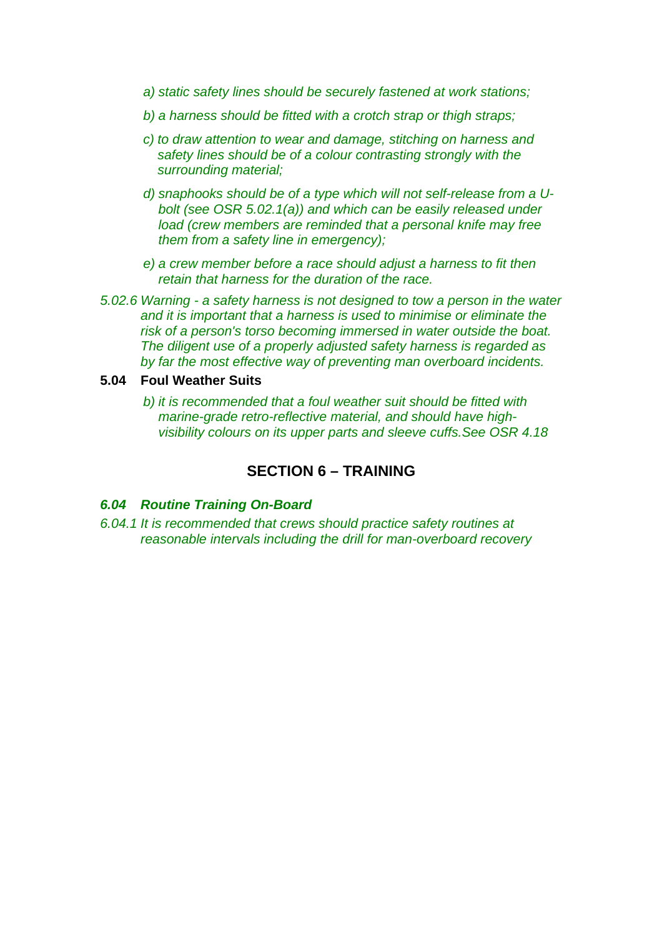- *a) static safety lines should be securely fastened at work stations;*
- *b) a harness should be fitted with a crotch strap or thigh straps;*
- *c) to draw attention to wear and damage, stitching on harness and safety lines should be of a colour contrasting strongly with the surrounding material;*
- *d) snaphooks should be of a type which will not self-release from a Ubolt (see OSR 5.02.1(a)) and which can be easily released under load (crew members are reminded that a personal knife may free them from a safety line in emergency);*
- *e) a crew member before a race should adjust a harness to fit then retain that harness for the duration of the race.*
- *5.02.6 Warning a safety harness is not designed to tow a person in the water and it is important that a harness is used to minimise or eliminate the risk of a person's torso becoming immersed in water outside the boat. The diligent use of a properly adjusted safety harness is regarded as by far the most effective way of preventing man overboard incidents.*

#### **5.04 Foul Weather Suits**

 *b) it is recommended that a foul weather suit should be fitted with marine-grade retro-reflective material, and should have highvisibility colours on its upper parts and sleeve cuffs.See OSR 4.18*

## **SECTION 6 – TRAINING**

#### *6.04 Routine Training On-Board*

*6.04.1 It is recommended that crews should practice safety routines at reasonable intervals including the drill for man-overboard recovery*